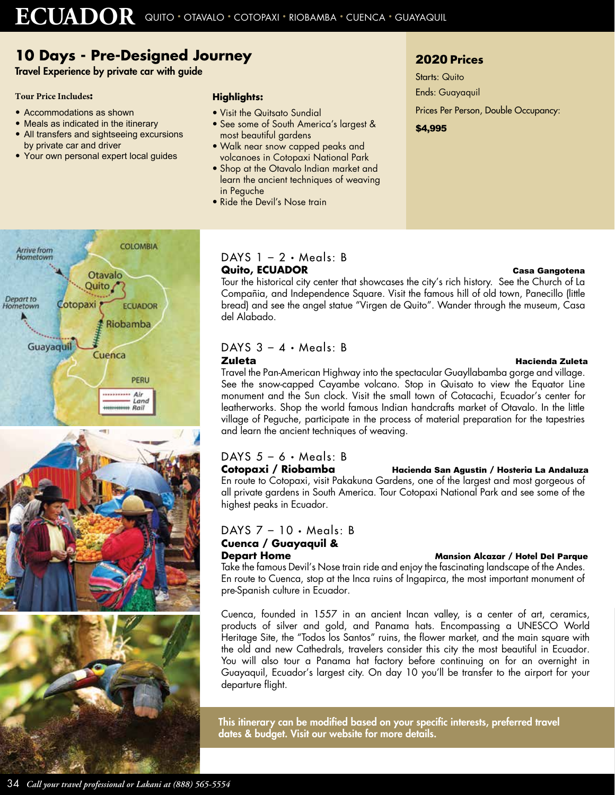# **10 Days - Pre-Designed Journey**

Travel Experience by private car with guide

### **Tour Price Includes:**

- Accommodations as shown
- Meals as indicated in the itinerary
- All transfers and sightseeing excursions by private car and driver
- Your own personal expert local guides

### **Highlights:**

- Visit the Quitsato Sundial
- See some of South America's largest & most beautiful gardens
- Walk near snow capped peaks and volcanoes in Cotopaxi National Park
- Shop at the Otavalo Indian market and learn the ancient techniques of weaving in Peguche
- Ride the Devil's Nose train

## 2020 **Prices**

Starts: Quito Ends: Guayaquil Prices Per Person, Double Occupancy: \$4,995







### $DAYS$  1 – 2 • Meals: B

### **Quito, ECUADOR Casa Gangotena** Tour the historical city center that showcases the city's rich history. See the Church of La Compañia, and Independence Square. Visit the famous hill of old town, Panecillo (little bread) and see the angel statue "Virgen de Quito". Wander through the museum, Casa del Alabado.

### DAYS  $3 - 4 \cdot$  Meals: B ZuletaHacienda Zuleta

### Travel the Pan-American Highway into the spectacular Guayllabamba gorge and village. See the snow-capped Cayambe volcano. Stop in Quisato to view the Equator Line monument and the Sun clock. Visit the small town of Cotacachi, Ecuador's center for leatherworks. Shop the world famous Indian handcrafts market of Otavalo. In the little village of Peguche, participate in the process of material preparation for the tapestries and learn the ancient techniques of weaving.

# DAYS 5 – 6 • Meals: B

### **Cotopaxi / Riobamba Hacienda** San Agustin **/ Hosteria** La Andaluza

En route to Cotopaxi, visit Pakakuna Gardens, one of the largest and most gorgeous of all private gardens in South America. Tour Cotopaxi National Park and see some of the highest peaks in Ecuador.

### DAYS 7 – 10 • Meals: B

# **Cuenca / Guayaquil &**

### **Depart Home Mansion Alcazar / Hotel Del Parque**

Take the famous Devil's Nose train ride and enjoy the fascinating landscape of the Andes. En route to Cuenca, stop at the Inca ruins of Ingapirca, the most important monument of pre-Spanish culture in Ecuador.

Cuenca, founded in 1557 in an ancient Incan valley, is a center of art, ceramics, products of silver and gold, and Panama hats. Encompassing a UNESCO World Heritage Site, the "Todos los Santos" ruins, the flower market, and the main square with the old and new Cathedrals, travelers consider this city the most beautiful in Ecuador. You will also tour a Panama hat factory before continuing on for an overnight in Guayaquil, Ecuador's largest city. On day 10 you'll be transfer to the airport for your departure flight.

This itinerary can be modified based on your specific interests, preferred travel dates & budget. Visit our website for more details.